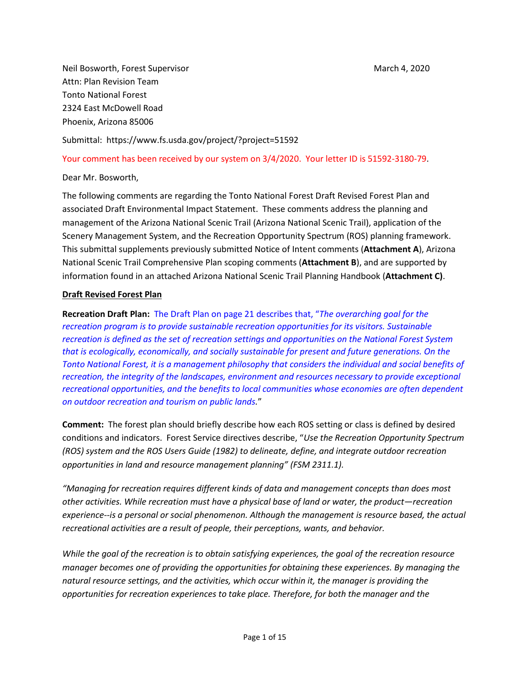Neil Bosworth, Forest Supervisor March 4, 2020 Attn: Plan Revision Team Tonto National Forest 2324 East McDowell Road Phoenix, Arizona 85006

Submittal: https://www.fs.usda.gov/project/?project=51592

Your comment has been received by our system on 3/4/2020. Your letter ID is 51592-3180-79.

Dear Mr. Bosworth,

The following comments are regarding the Tonto National Forest Draft Revised Forest Plan and associated Draft Environmental Impact Statement. These comments address the planning and management of the Arizona National Scenic Trail (Arizona National Scenic Trail), application of the Scenery Management System, and the Recreation Opportunity Spectrum (ROS) planning framework. This submittal supplements previously submitted Notice of Intent comments (**Attachment A**), Arizona National Scenic Trail Comprehensive Plan scoping comments (**Attachment B**), and are supported by information found in an attached Arizona National Scenic Trail Planning Handbook (**Attachment C)**.

## **Draft Revised Forest Plan**

**Recreation Draft Plan:** The Draft Plan on page 21 describes that, "*The overarching goal for the recreation program is to provide sustainable recreation opportunities for its visitors. Sustainable recreation is defined as the set of recreation settings and opportunities on the National Forest System that is ecologically, economically, and socially sustainable for present and future generations. On the Tonto National Forest, it is a management philosophy that considers the individual and social benefits of recreation, the integrity of the landscapes, environment and resources necessary to provide exceptional recreational opportunities, and the benefits to local communities whose economies are often dependent on outdoor recreation and tourism on public lands.*"

**Comment:** The forest plan should briefly describe how each ROS setting or class is defined by desired conditions and indicators. Forest Service directives describe, "*Use the Recreation Opportunity Spectrum (ROS) system and the ROS Users Guide (1982) to delineate, define, and integrate outdoor recreation opportunities in land and resource management planning" (FSM 2311.1).* 

*"Managing for recreation requires different kinds of data and management concepts than does most other activities. While recreation must have a physical base of land or water, the product—recreation experience--is a personal or social phenomenon. Although the management is resource based, the actual recreational activities are a result of people, their perceptions, wants, and behavior.*

*While the goal of the recreation is to obtain satisfying experiences, the goal of the recreation resource manager becomes one of providing the opportunities for obtaining these experiences. By managing the natural resource settings, and the activities, which occur within it, the manager is providing the opportunities for recreation experiences to take place. Therefore, for both the manager and the*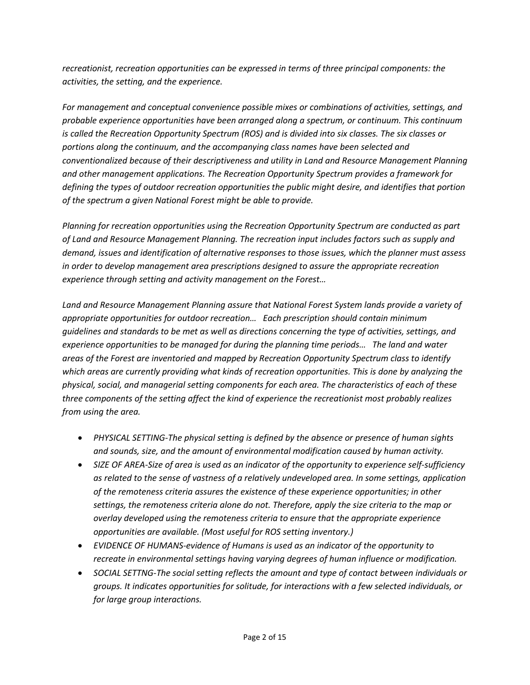*recreationist, recreation opportunities can be expressed in terms of three principal components: the activities, the setting, and the experience.*

*For management and conceptual convenience possible mixes or combinations of activities, settings, and probable experience opportunities have been arranged along a spectrum, or continuum. This continuum is called the Recreation Opportunity Spectrum (ROS) and is divided into six classes. The six classes or portions along the continuum, and the accompanying class names have been selected and conventionalized because of their descriptiveness and utility in Land and Resource Management Planning and other management applications. The Recreation Opportunity Spectrum provides a framework for defining the types of outdoor recreation opportunities the public might desire, and identifies that portion of the spectrum a given National Forest might be able to provide.*

*Planning for recreation opportunities using the Recreation Opportunity Spectrum are conducted as part of Land and Resource Management Planning. The recreation input includes factors such as supply and demand, issues and identification of alternative responses to those issues, which the planner must assess in order to develop management area prescriptions designed to assure the appropriate recreation experience through setting and activity management on the Forest…*

*Land and Resource Management Planning assure that National Forest System lands provide a variety of appropriate opportunities for outdoor recreation… Each prescription should contain minimum guidelines and standards to be met as well as directions concerning the type of activities, settings, and experience opportunities to be managed for during the planning time periods… The land and water areas of the Forest are inventoried and mapped by Recreation Opportunity Spectrum class to identify which areas are currently providing what kinds of recreation opportunities. This is done by analyzing the physical, social, and managerial setting components for each area. The characteristics of each of these three components of the setting affect the kind of experience the recreationist most probably realizes from using the area.*

- *PHYSICAL SETTING-The physical setting is defined by the absence or presence of human sights and sounds, size, and the amount of environmental modification caused by human activity.*
- *SIZE OF AREA-Size of area is used as an indicator of the opportunity to experience self-sufficiency as related to the sense of vastness of a relatively undeveloped area. In some settings, application of the remoteness criteria assures the existence of these experience opportunities; in other settings, the remoteness criteria alone do not. Therefore, apply the size criteria to the map or overlay developed using the remoteness criteria to ensure that the appropriate experience opportunities are available. (Most useful for ROS setting inventory.)*
- *EVIDENCE OF HUMANS-evidence of Humans is used as an indicator of the opportunity to recreate in environmental settings having varying degrees of human influence or modification.*
- *SOCIAL SETTNG-The social setting reflects the amount and type of contact between individuals or groups. It indicates opportunities for solitude, for interactions with a few selected individuals, or for large group interactions.*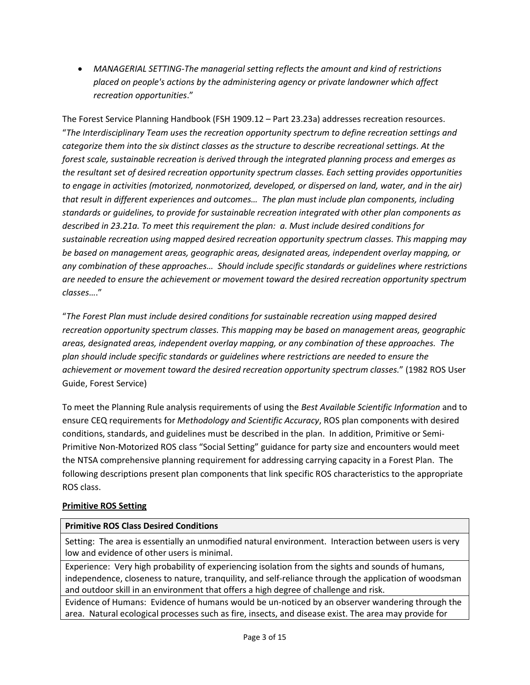• *MANAGERIAL SETTING-The managerial setting reflects the amount and kind of restrictions placed on people's actions by the administering agency or private landowner which affect recreation opportunities*."

The Forest Service Planning Handbook (FSH 1909.12 – Part 23.23a) addresses recreation resources. "*The Interdisciplinary Team uses the recreation opportunity spectrum to define recreation settings and categorize them into the six distinct classes as the structure to describe recreational settings. At the forest scale, sustainable recreation is derived through the integrated planning process and emerges as the resultant set of desired recreation opportunity spectrum classes. Each setting provides opportunities to engage in activities (motorized, nonmotorized, developed, or dispersed on land, water, and in the air) that result in different experiences and outcomes… The plan must include plan components, including standards or guidelines, to provide for sustainable recreation integrated with other plan components as described in 23.21a. To meet this requirement the plan: a. Must include desired conditions for sustainable recreation using mapped desired recreation opportunity spectrum classes. This mapping may be based on management areas, geographic areas, designated areas, independent overlay mapping, or any combination of these approaches… Should include specific standards or guidelines where restrictions are needed to ensure the achievement or movement toward the desired recreation opportunity spectrum classes*…."

"*The Forest Plan must include desired conditions for sustainable recreation using mapped desired recreation opportunity spectrum classes. This mapping may be based on management areas, geographic areas, designated areas, independent overlay mapping, or any combination of these approaches. The plan should include specific standards or guidelines where restrictions are needed to ensure the achievement or movement toward the desired recreation opportunity spectrum classes.*" (1982 ROS User Guide, Forest Service)

To meet the Planning Rule analysis requirements of using the *Best Available Scientific Information* and to ensure CEQ requirements for *Methodology and Scientific Accuracy*, ROS plan components with desired conditions, standards, and guidelines must be described in the plan. In addition, Primitive or Semi-Primitive Non-Motorized ROS class "Social Setting" guidance for party size and encounters would meet the NTSA comprehensive planning requirement for addressing carrying capacity in a Forest Plan. The following descriptions present plan components that link specific ROS characteristics to the appropriate ROS class.

# **Primitive ROS Setting**

# **Primitive ROS Class Desired Conditions**

Setting: The area is essentially an unmodified natural environment. Interaction between users is very low and evidence of other users is minimal.

Experience: Very high probability of experiencing isolation from the sights and sounds of humans, independence, closeness to nature, tranquility, and self-reliance through the application of woodsman and outdoor skill in an environment that offers a high degree of challenge and risk.

Evidence of Humans: Evidence of humans would be un-noticed by an observer wandering through the area. Natural ecological processes such as fire, insects, and disease exist. The area may provide for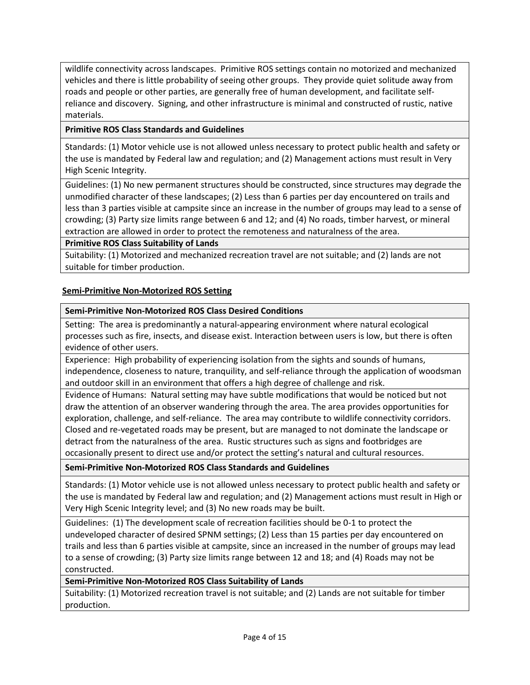wildlife connectivity across landscapes. Primitive ROS settings contain no motorized and mechanized vehicles and there is little probability of seeing other groups. They provide quiet solitude away from roads and people or other parties, are generally free of human development, and facilitate selfreliance and discovery. Signing, and other infrastructure is minimal and constructed of rustic, native materials.

## **Primitive ROS Class Standards and Guidelines**

Standards: (1) Motor vehicle use is not allowed unless necessary to protect public health and safety or the use is mandated by Federal law and regulation; and (2) Management actions must result in Very High Scenic Integrity.

Guidelines: (1) No new permanent structures should be constructed, since structures may degrade the unmodified character of these landscapes; (2) Less than 6 parties per day encountered on trails and less than 3 parties visible at campsite since an increase in the number of groups may lead to a sense of crowding; (3) Party size limits range between 6 and 12; and (4) No roads, timber harvest, or mineral extraction are allowed in order to protect the remoteness and naturalness of the area.

## **Primitive ROS Class Suitability of Lands**

Suitability: (1) Motorized and mechanized recreation travel are not suitable; and (2) lands are not suitable for timber production.

## **Semi-Primitive Non-Motorized ROS Setting**

## **Semi-Primitive Non-Motorized ROS Class Desired Conditions**

Setting: The area is predominantly a natural-appearing environment where natural ecological processes such as fire, insects, and disease exist. Interaction between users is low, but there is often evidence of other users.

Experience: High probability of experiencing isolation from the sights and sounds of humans, independence, closeness to nature, tranquility, and self-reliance through the application of woodsman and outdoor skill in an environment that offers a high degree of challenge and risk.

Evidence of Humans: Natural setting may have subtle modifications that would be noticed but not draw the attention of an observer wandering through the area. The area provides opportunities for exploration, challenge, and self-reliance. The area may contribute to wildlife connectivity corridors. Closed and re-vegetated roads may be present, but are managed to not dominate the landscape or detract from the naturalness of the area. Rustic structures such as signs and footbridges are occasionally present to direct use and/or protect the setting's natural and cultural resources.

## **Semi-Primitive Non-Motorized ROS Class Standards and Guidelines**

Standards: (1) Motor vehicle use is not allowed unless necessary to protect public health and safety or the use is mandated by Federal law and regulation; and (2) Management actions must result in High or Very High Scenic Integrity level; and (3) No new roads may be built.

Guidelines: (1) The development scale of recreation facilities should be 0-1 to protect the undeveloped character of desired SPNM settings; (2) Less than 15 parties per day encountered on trails and less than 6 parties visible at campsite, since an increased in the number of groups may lead to a sense of crowding; (3) Party size limits range between 12 and 18; and (4) Roads may not be constructed.

**Semi-Primitive Non-Motorized ROS Class Suitability of Lands**

Suitability: (1) Motorized recreation travel is not suitable; and (2) Lands are not suitable for timber production.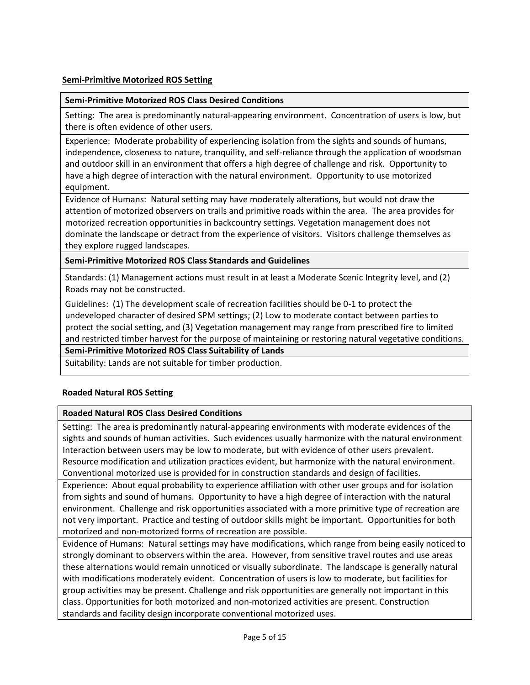## **Semi-Primitive Motorized ROS Setting**

### **Semi-Primitive Motorized ROS Class Desired Conditions**

Setting: The area is predominantly natural-appearing environment. Concentration of users is low, but there is often evidence of other users.

Experience: Moderate probability of experiencing isolation from the sights and sounds of humans, independence, closeness to nature, tranquility, and self-reliance through the application of woodsman and outdoor skill in an environment that offers a high degree of challenge and risk. Opportunity to have a high degree of interaction with the natural environment. Opportunity to use motorized equipment.

Evidence of Humans: Natural setting may have moderately alterations, but would not draw the attention of motorized observers on trails and primitive roads within the area. The area provides for motorized recreation opportunities in backcountry settings. Vegetation management does not dominate the landscape or detract from the experience of visitors. Visitors challenge themselves as they explore rugged landscapes.

**Semi-Primitive Motorized ROS Class Standards and Guidelines**

Standards: (1) Management actions must result in at least a Moderate Scenic Integrity level, and (2) Roads may not be constructed.

Guidelines: (1) The development scale of recreation facilities should be 0-1 to protect the undeveloped character of desired SPM settings; (2) Low to moderate contact between parties to protect the social setting, and (3) Vegetation management may range from prescribed fire to limited and restricted timber harvest for the purpose of maintaining or restoring natural vegetative conditions.

### **Semi-Primitive Motorized ROS Class Suitability of Lands**

Suitability: Lands are not suitable for timber production.

### **Roaded Natural ROS Setting**

### **Roaded Natural ROS Class Desired Conditions**

Setting: The area is predominantly natural-appearing environments with moderate evidences of the sights and sounds of human activities. Such evidences usually harmonize with the natural environment Interaction between users may be low to moderate, but with evidence of other users prevalent. Resource modification and utilization practices evident, but harmonize with the natural environment. Conventional motorized use is provided for in construction standards and design of facilities.

Experience: About equal probability to experience affiliation with other user groups and for isolation from sights and sound of humans. Opportunity to have a high degree of interaction with the natural environment. Challenge and risk opportunities associated with a more primitive type of recreation are not very important. Practice and testing of outdoor skills might be important. Opportunities for both motorized and non-motorized forms of recreation are possible.

Evidence of Humans: Natural settings may have modifications, which range from being easily noticed to strongly dominant to observers within the area. However, from sensitive travel routes and use areas these alternations would remain unnoticed or visually subordinate. The landscape is generally natural with modifications moderately evident. Concentration of users is low to moderate, but facilities for group activities may be present. Challenge and risk opportunities are generally not important in this class. Opportunities for both motorized and non-motorized activities are present. Construction standards and facility design incorporate conventional motorized uses.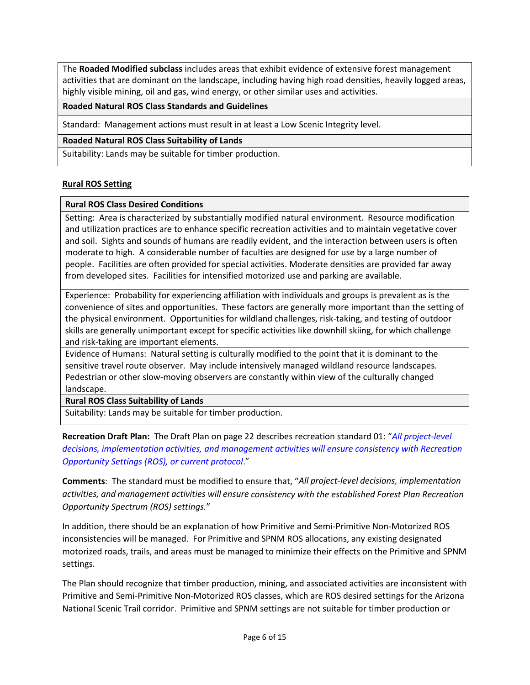The **Roaded Modified subclass** includes areas that exhibit evidence of extensive forest management activities that are dominant on the landscape, including having high road densities, heavily logged areas, highly visible mining, oil and gas, wind energy, or other similar uses and activities.

## **Roaded Natural ROS Class Standards and Guidelines**

Standard: Management actions must result in at least a Low Scenic Integrity level.

## **Roaded Natural ROS Class Suitability of Lands**

Suitability: Lands may be suitable for timber production.

## **Rural ROS Setting**

## **Rural ROS Class Desired Conditions**

Setting: Area is characterized by substantially modified natural environment. Resource modification and utilization practices are to enhance specific recreation activities and to maintain vegetative cover and soil. Sights and sounds of humans are readily evident, and the interaction between users is often moderate to high. A considerable number of faculties are designed for use by a large number of people. Facilities are often provided for special activities. Moderate densities are provided far away from developed sites. Facilities for intensified motorized use and parking are available.

Experience: Probability for experiencing affiliation with individuals and groups is prevalent as is the convenience of sites and opportunities. These factors are generally more important than the setting of the physical environment. Opportunities for wildland challenges, risk-taking, and testing of outdoor skills are generally unimportant except for specific activities like downhill skiing, for which challenge and risk-taking are important elements.

Evidence of Humans: Natural setting is culturally modified to the point that it is dominant to the sensitive travel route observer. May include intensively managed wildland resource landscapes. Pedestrian or other slow-moving observers are constantly within view of the culturally changed landscape.

## **Rural ROS Class Suitability of Lands**

Suitability: Lands may be suitable for timber production.

**Recreation Draft Plan:** The Draft Plan on page 22 describes recreation standard 01: "*All project-level decisions, implementation activities, and management activities will ensure consistency with Recreation Opportunity Settings (ROS), or current protocol*."

**Comments**: The standard must be modified to ensure that, "*All project-level decisions, implementation activities, and management activities will ensure consistency with the established Forest Plan Recreation Opportunity Spectrum (ROS) settings.*"

In addition, there should be an explanation of how Primitive and Semi-Primitive Non-Motorized ROS inconsistencies will be managed. For Primitive and SPNM ROS allocations, any existing designated motorized roads, trails, and areas must be managed to minimize their effects on the Primitive and SPNM settings.

The Plan should recognize that timber production, mining, and associated activities are inconsistent with Primitive and Semi-Primitive Non-Motorized ROS classes, which are ROS desired settings for the Arizona National Scenic Trail corridor. Primitive and SPNM settings are not suitable for timber production or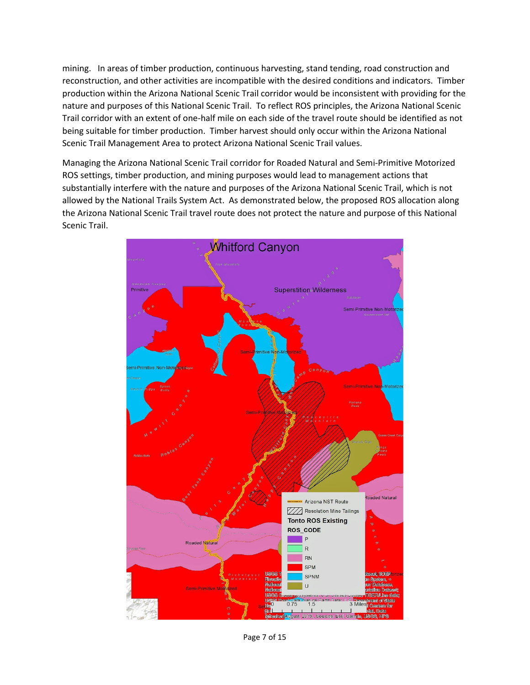mining. In areas of timber production, continuous harvesting, stand tending, road construction and reconstruction, and other activities are incompatible with the desired conditions and indicators. Timber production within the Arizona National Scenic Trail corridor would be inconsistent with providing for the nature and purposes of this National Scenic Trail. To reflect ROS principles, the Arizona National Scenic Trail corridor with an extent of one-half mile on each side of the travel route should be identified as not being suitable for timber production. Timber harvest should only occur within the Arizona National Scenic Trail Management Area to protect Arizona National Scenic Trail values.

Managing the Arizona National Scenic Trail corridor for Roaded Natural and Semi-Primitive Motorized ROS settings, timber production, and mining purposes would lead to management actions that substantially interfere with the nature and purposes of the Arizona National Scenic Trail, which is not allowed by the National Trails System Act. As demonstrated below, the proposed ROS allocation along the Arizona National Scenic Trail travel route does not protect the nature and purpose of this National Scenic Trail.



Page 7 of 15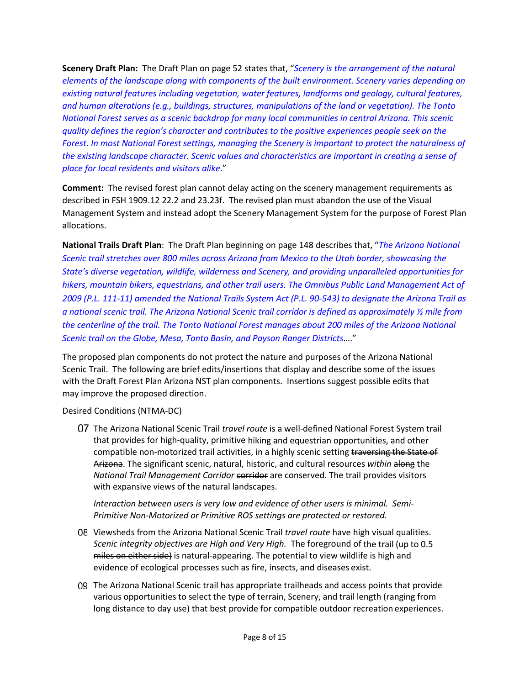**Scenery Draft Plan:** The Draft Plan on page 52 states that, "*Scenery is the arrangement of the natural elements of the landscape along with components of the built environment. Scenery varies depending on existing natural features including vegetation, water features, landforms and geology, cultural features, and human alterations (e.g., buildings, structures, manipulations of the land or vegetation). The Tonto National Forest serves as a scenic backdrop for many local communities in central Arizona. This scenic quality defines the region's character and contributes to the positive experiences people seek on the Forest. In most National Forest settings, managing the Scenery is important to protect the naturalness of the existing landscape character. Scenic values and characteristics are important in creating a sense of place for local residents and visitors alike*."

**Comment:** The revised forest plan cannot delay acting on the scenery management requirements as described in FSH 1909.12 22.2 and 23.23f. The revised plan must abandon the use of the Visual Management System and instead adopt the Scenery Management System for the purpose of Forest Plan allocations.

**National Trails Draft Plan**: The Draft Plan beginning on page 148 describes that, "*The Arizona National Scenic trail stretches over 800 miles across Arizona from Mexico to the Utah border, showcasing the State's diverse vegetation, wildlife, wilderness and Scenery, and providing unparalleled opportunities for hikers, mountain bikers, equestrians, and other trail users. The Omnibus Public Land Management Act of 2009 (P.L. 111-11) amended the National Trails System Act (P.L. 90-543) to designate the Arizona Trail as a national scenic trail. The Arizona National Scenic trail corridor is defined as approximately ½ mile from the centerline of the trail. The Tonto National Forest manages about 200 miles of the Arizona National Scenic trail on the Globe, Mesa, Tonto Basin, and Payson Ranger Districts*…."

The proposed plan components do not protect the nature and purposes of the Arizona National Scenic Trail. The following are brief edits/insertions that display and describe some of the issues with the Draft Forest Plan Arizona NST plan components. Insertions suggest possible edits that may improve the proposed direction.

Desired Conditions (NTMA-DC)

The Arizona National Scenic Trail *travel route* is a well-defined National Forest System trail that provides for high-quality, primitive hiking and equestrian opportunities, and other compatible non-motorized trail activities, in a highly scenic setting traversing the State of Arizona. The significant scenic, natural, historic, and cultural resources *within* along the *National Trail Management Corridor* corridor are conserved. The trail provides visitors with expansive views of the natural landscapes.

*Interaction between users is very low and evidence of other users is minimal. Semi-Primitive Non-Motorized or Primitive ROS settings are protected or restored.* 

- Viewsheds from the Arizona National Scenic Trail *travel route* have high visual qualities. *Scenic integrity objectives are High and Very High.* The foreground of the trail (up to 0.5 miles on either side) is natural-appearing. The potential to view wildlife is high and evidence of ecological processes such as fire, insects, and diseases exist.
- The Arizona National Scenic trail has appropriate trailheads and access points that provide various opportunities to select the type of terrain, Scenery, and trail length (ranging from long distance to day use) that best provide for compatible outdoor recreation experiences.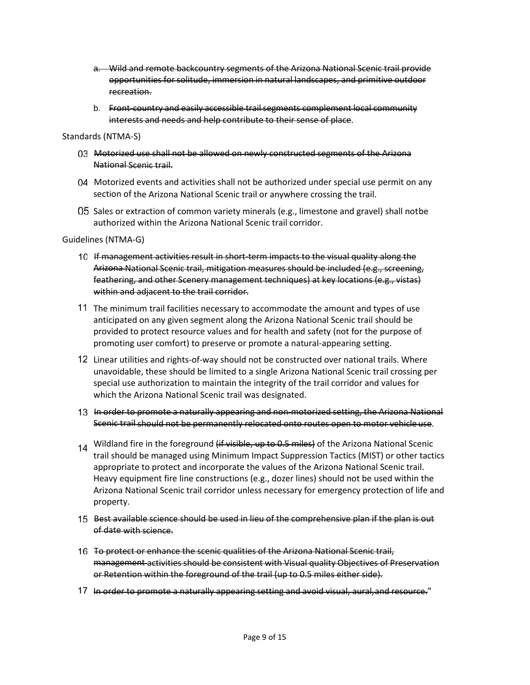- a. Wild and remote backcountry segments of the Arizona National Scenic trail provide opportunities for solitude, immersion in natural landscapes, and primitive outdoor recreation.
- b. Front-country and easily accessible trail segments complement local community interests and needs and help contribute to their sense of place.

Standards (NTMA-S)

- 03 Motorized use shall not be allowed on newly constructed segments of the Arizona National Scenic trail.
- 04 Motorized events and activities shall not be authorized under special use permit on any section of the Arizona National Scenic trail or anywhere crossing the trail.
- O5 Sales or extraction of common variety minerals (e.g., limestone and gravel) shall notbe authorized within the Arizona National Scenic trail corridor.

Guidelines (NTMA-G)

- If management activities result in short-term impacts to the visual quality along the Arizona National Scenic trail, mitigation measures should be included (e.g., screening, feathering, and other Scenery management techniques) at key locations (e.g., vistas) within and adjacent to the trail corridor.
- The minimum trail facilities necessary to accommodate the amount and types of use anticipated on any given segment along the Arizona National Scenic trail should be provided to protect resource values and for health and safety (not for the purpose of promoting user comfort) to preserve or promote a natural-appearing setting.
- Linear utilities and rights-of-way should not be constructed over national trails. Where unavoidable, these should be limited to a single Arizona National Scenic trail crossing per special use authorization to maintain the integrity of the trail corridor and values for which the Arizona National Scenic trail was designated.
- 13 In order to promote a naturally appearing and non-motorized setting, the Arizona National Scenic trail should not be permanently relocated onto routes open to motor vehicle use.
- 14 Wildland fire in the foreground (if visible, up to 0.5 miles) of the Arizona National Scenic trail should be managed using Minimum Impact Suppression Tactics (MIST) or other tactics appropriate to protect and incorporate the values of the Arizona National Scenic trail. Heavy equipment fire line constructions (e.g., dozer lines) should not be used within the Arizona National Scenic trail corridor unless necessary for emergency protection of life and property.
- 15 Best available science should be used in lieu of the comprehensive plan if the plan is out of date with science.
- 16 To protect or enhance the scenic qualities of the Arizona National Scenic trail, management activities should be consistent with Visual quality Objectives of Preservation or Retention within the foreground of the trail (up to 0.5 miles either side).
- 17 In order to promote a naturally appearing setting and avoid visual, aural, and resource."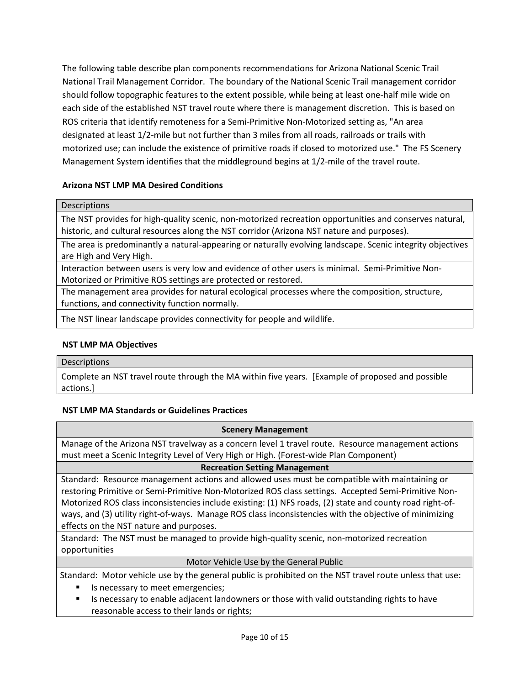The following table describe plan components recommendations for Arizona National Scenic Trail National Trail Management Corridor. The boundary of the National Scenic Trail management corridor should follow topographic features to the extent possible, while being at least one-half mile wide on each side of the established NST travel route where there is management discretion. This is based on ROS criteria that identify remoteness for a Semi-Primitive Non-Motorized setting as, "An area designated at least 1/2-mile but not further than 3 miles from all roads, railroads or trails with motorized use; can include the existence of primitive roads if closed to motorized use." The FS Scenery Management System identifies that the middleground begins at 1/2-mile of the travel route.

## **Arizona NST LMP MA Desired Conditions**

#### **Descriptions**

The NST provides for high-quality scenic, non-motorized recreation opportunities and conserves natural, historic, and cultural resources along the NST corridor (Arizona NST nature and purposes).

The area is predominantly a natural-appearing or naturally evolving landscape. Scenic integrity objectives are High and Very High.

Interaction between users is very low and evidence of other users is minimal. Semi-Primitive Non-Motorized or Primitive ROS settings are protected or restored.

The management area provides for natural ecological processes where the composition, structure, functions, and connectivity function normally.

The NST linear landscape provides connectivity for people and wildlife.

### **NST LMP MA Objectives**

#### **Descriptions**

Complete an NST travel route through the MA within five years. [Example of proposed and possible actions.]

### **NST LMP MA Standards or Guidelines Practices**

| <b>Scenery Management</b>                                                                                |
|----------------------------------------------------------------------------------------------------------|
| Manage of the Arizona NST travelway as a concern level 1 travel route. Resource management actions       |
| must meet a Scenic Integrity Level of Very High or High. (Forest-wide Plan Component)                    |
| <b>Recreation Setting Management</b>                                                                     |
| Standard: Resource management actions and allowed uses must be compatible with maintaining or            |
| restoring Primitive or Semi-Primitive Non-Motorized ROS class settings. Accepted Semi-Primitive Non-     |
| Motorized ROS class inconsistencies include existing: (1) NFS roads, (2) state and county road right-of- |
| ways, and (3) utility right-of-ways. Manage ROS class inconsistencies with the objective of minimizing   |
| effects on the NST nature and purposes.                                                                  |
| Standard: The NST must be managed to provide high-quality scenic, non-motorized recreation               |
| opportunities                                                                                            |
| Motor Vehicle Use by the General Public                                                                  |
| Standard: Motor vehicle use by the general public is prohibited on the NST travel route unless that use: |
| Is necessary to meet emergencies;<br>٠                                                                   |

 Is necessary to enable adjacent landowners or those with valid outstanding rights to have reasonable access to their lands or rights;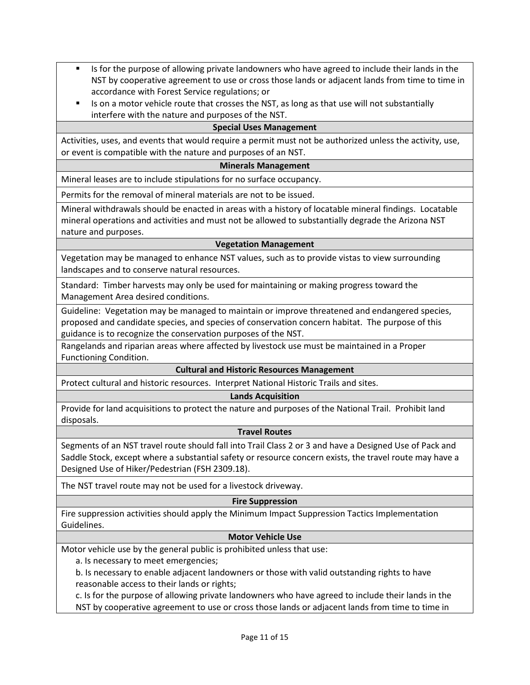- Is for the purpose of allowing private landowners who have agreed to include their lands in the NST by cooperative agreement to use or cross those lands or adjacent lands from time to time in accordance with Forest Service regulations; or
- Is on a motor vehicle route that crosses the NST, as long as that use will not substantially interfere with the nature and purposes of the NST.

### **Special Uses Management**

Activities, uses, and events that would require a permit must not be authorized unless the activity, use, or event is compatible with the nature and purposes of an NST.

#### **Minerals Management**

Mineral leases are to include stipulations for no surface occupancy.

Permits for the removal of mineral materials are not to be issued.

Mineral withdrawals should be enacted in areas with a history of locatable mineral findings. Locatable mineral operations and activities and must not be allowed to substantially degrade the Arizona NST nature and purposes.

#### **Vegetation Management**

Vegetation may be managed to enhance NST values, such as to provide vistas to view surrounding landscapes and to conserve natural resources.

Standard: Timber harvests may only be used for maintaining or making progress toward the Management Area desired conditions.

Guideline: Vegetation may be managed to maintain or improve threatened and endangered species, proposed and candidate species, and species of conservation concern habitat. The purpose of this guidance is to recognize the conservation purposes of the NST.

Rangelands and riparian areas where affected by livestock use must be maintained in a Proper Functioning Condition.

### **Cultural and Historic Resources Management**

Protect cultural and historic resources. Interpret National Historic Trails and sites.

#### **Lands Acquisition**

Provide for land acquisitions to protect the nature and purposes of the National Trail. Prohibit land disposals.

#### **Travel Routes**

Segments of an NST travel route should fall into Trail Class 2 or 3 and have a Designed Use of Pack and Saddle Stock, except where a substantial safety or resource concern exists, the travel route may have a Designed Use of Hiker/Pedestrian (FSH 2309.18).

The NST travel route may not be used for a livestock driveway.

#### **Fire Suppression**

Fire suppression activities should apply the Minimum Impact Suppression Tactics Implementation Guidelines.

## **Motor Vehicle Use**

Motor vehicle use by the general public is prohibited unless that use:

a. Is necessary to meet emergencies;

b. Is necessary to enable adjacent landowners or those with valid outstanding rights to have reasonable access to their lands or rights;

c. Is for the purpose of allowing private landowners who have agreed to include their lands in the

NST by cooperative agreement to use or cross those lands or adjacent lands from time to time in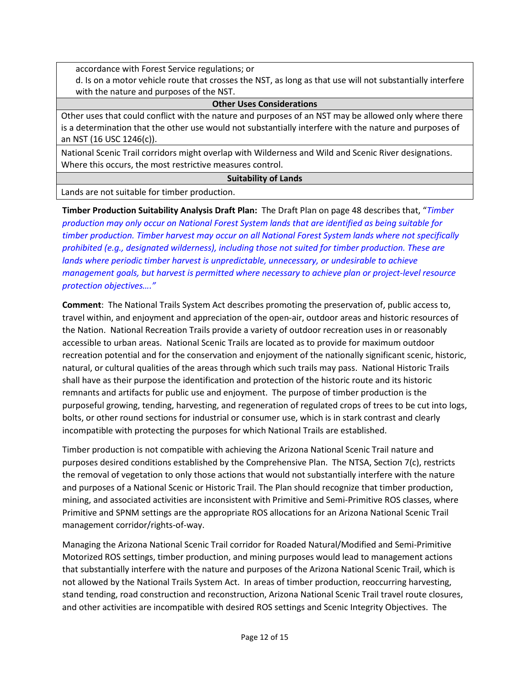accordance with Forest Service regulations; or

d. Is on a motor vehicle route that crosses the NST, as long as that use will not substantially interfere with the nature and purposes of the NST.

#### **Other Uses Considerations**

Other uses that could conflict with the nature and purposes of an NST may be allowed only where there is a determination that the other use would not substantially interfere with the nature and purposes of an NST (16 USC 1246(c)).

National Scenic Trail corridors might overlap with Wilderness and Wild and Scenic River designations. Where this occurs, the most restrictive measures control.

### **Suitability of Lands**

Lands are not suitable for timber production.

**Timber Production Suitability Analysis Draft Plan:** The Draft Plan on page 48 describes that, "*Timber production may only occur on National Forest System lands that are identified as being suitable for timber production. Timber harvest may occur on all National Forest System lands where not specifically prohibited (e.g., designated wilderness), including those not suited for timber production. These are lands where periodic timber harvest is unpredictable, unnecessary, or undesirable to achieve management goals, but harvest is permitted where necessary to achieve plan or project-level resource protection objectives…."*

**Comment**: The National Trails System Act describes promoting the preservation of, public access to, travel within, and enjoyment and appreciation of the open-air, outdoor areas and historic resources of the Nation. National Recreation Trails provide a variety of outdoor recreation uses in or reasonably accessible to urban areas. National Scenic Trails are located as to provide for maximum outdoor recreation potential and for the conservation and enjoyment of the nationally significant scenic, historic, natural, or cultural qualities of the areas through which such trails may pass. National Historic Trails shall have as their purpose the identification and protection of the historic route and its historic remnants and artifacts for public use and enjoyment. The purpose of timber production is the purposeful growing, tending, harvesting, and regeneration of regulated crops of trees to be cut into logs, bolts, or other round sections for industrial or consumer use, which is in stark contrast and clearly incompatible with protecting the purposes for which National Trails are established.

Timber production is not compatible with achieving the Arizona National Scenic Trail nature and purposes desired conditions established by the Comprehensive Plan. The NTSA, Section 7(c), restricts the removal of vegetation to only those actions that would not substantially interfere with the nature and purposes of a National Scenic or Historic Trail. The Plan should recognize that timber production, mining, and associated activities are inconsistent with Primitive and Semi-Primitive ROS classes, where Primitive and SPNM settings are the appropriate ROS allocations for an Arizona National Scenic Trail management corridor/rights-of-way.

Managing the Arizona National Scenic Trail corridor for Roaded Natural/Modified and Semi-Primitive Motorized ROS settings, timber production, and mining purposes would lead to management actions that substantially interfere with the nature and purposes of the Arizona National Scenic Trail, which is not allowed by the National Trails System Act. In areas of timber production, reoccurring harvesting, stand tending, road construction and reconstruction, Arizona National Scenic Trail travel route closures, and other activities are incompatible with desired ROS settings and Scenic Integrity Objectives. The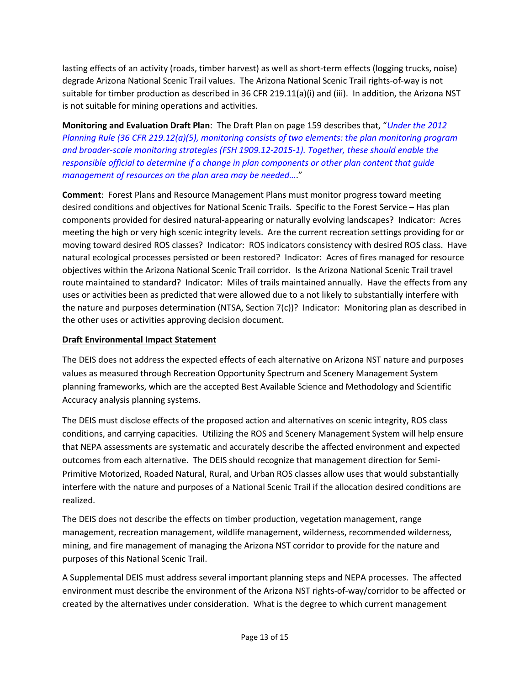lasting effects of an activity (roads, timber harvest) as well as short-term effects (logging trucks, noise) degrade Arizona National Scenic Trail values. The Arizona National Scenic Trail rights-of-way is not suitable for timber production as described in 36 CFR 219.11(a)(i) and (iii). In addition, the Arizona NST is not suitable for mining operations and activities.

**Monitoring and Evaluation Draft Plan**: The Draft Plan on page 159 describes that, "*Under the 2012 Planning Rule (36 CFR 219.12(a)(5), monitoring consists of two elements: the plan monitoring program and broader-scale monitoring strategies (FSH 1909.12-2015-1). Together, these should enable the responsible official to determine if a change in plan components or other plan content that guide management of resources on the plan area may be needed…*."

**Comment**: Forest Plans and Resource Management Plans must monitor progress toward meeting desired conditions and objectives for National Scenic Trails. Specific to the Forest Service – Has plan components provided for desired natural-appearing or naturally evolving landscapes? Indicator: Acres meeting the high or very high scenic integrity levels. Are the current recreation settings providing for or moving toward desired ROS classes? Indicator: ROS indicators consistency with desired ROS class. Have natural ecological processes persisted or been restored? Indicator: Acres of fires managed for resource objectives within the Arizona National Scenic Trail corridor. Is the Arizona National Scenic Trail travel route maintained to standard? Indicator: Miles of trails maintained annually. Have the effects from any uses or activities been as predicted that were allowed due to a not likely to substantially interfere with the nature and purposes determination (NTSA, Section  $7(c)$ )? Indicator: Monitoring plan as described in the other uses or activities approving decision document.

## **Draft Environmental Impact Statement**

The DEIS does not address the expected effects of each alternative on Arizona NST nature and purposes values as measured through Recreation Opportunity Spectrum and Scenery Management System planning frameworks, which are the accepted Best Available Science and Methodology and Scientific Accuracy analysis planning systems.

The DEIS must disclose effects of the proposed action and alternatives on scenic integrity, ROS class conditions, and carrying capacities. Utilizing the ROS and Scenery Management System will help ensure that NEPA assessments are systematic and accurately describe the affected environment and expected outcomes from each alternative. The DEIS should recognize that management direction for Semi-Primitive Motorized, Roaded Natural, Rural, and Urban ROS classes allow uses that would substantially interfere with the nature and purposes of a National Scenic Trail if the allocation desired conditions are realized.

The DEIS does not describe the effects on timber production, vegetation management, range management, recreation management, wildlife management, wilderness, recommended wilderness, mining, and fire management of managing the Arizona NST corridor to provide for the nature and purposes of this National Scenic Trail.

A Supplemental DEIS must address several important planning steps and NEPA processes. The affected environment must describe the environment of the Arizona NST rights-of-way/corridor to be affected or created by the alternatives under consideration. What is the degree to which current management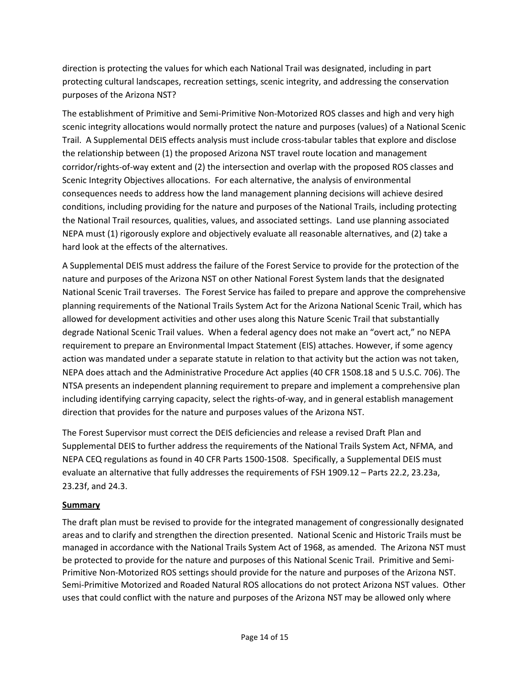direction is protecting the values for which each National Trail was designated, including in part protecting cultural landscapes, recreation settings, scenic integrity, and addressing the conservation purposes of the Arizona NST?

The establishment of Primitive and Semi-Primitive Non-Motorized ROS classes and high and very high scenic integrity allocations would normally protect the nature and purposes (values) of a National Scenic Trail. A Supplemental DEIS effects analysis must include cross-tabular tables that explore and disclose the relationship between (1) the proposed Arizona NST travel route location and management corridor/rights-of-way extent and (2) the intersection and overlap with the proposed ROS classes and Scenic Integrity Objectives allocations. For each alternative, the analysis of environmental consequences needs to address how the land management planning decisions will achieve desired conditions, including providing for the nature and purposes of the National Trails, including protecting the National Trail resources, qualities, values, and associated settings. Land use planning associated NEPA must (1) rigorously explore and objectively evaluate all reasonable alternatives, and (2) take a hard look at the effects of the alternatives.

A Supplemental DEIS must address the failure of the Forest Service to provide for the protection of the nature and purposes of the Arizona NST on other National Forest System lands that the designated National Scenic Trail traverses. The Forest Service has failed to prepare and approve the comprehensive planning requirements of the National Trails System Act for the Arizona National Scenic Trail, which has allowed for development activities and other uses along this Nature Scenic Trail that substantially degrade National Scenic Trail values. When a federal agency does not make an "overt act," no NEPA requirement to prepare an Environmental Impact Statement (EIS) attaches. However, if some agency action was mandated under a separate statute in relation to that activity but the action was not taken, NEPA does attach and the Administrative Procedure Act applies (40 CFR 1508.18 and 5 U.S.C. 706). The NTSA presents an independent planning requirement to prepare and implement a comprehensive plan including identifying carrying capacity, select the rights-of-way, and in general establish management direction that provides for the nature and purposes values of the Arizona NST.

The Forest Supervisor must correct the DEIS deficiencies and release a revised Draft Plan and Supplemental DEIS to further address the requirements of the National Trails System Act, NFMA, and NEPA CEQ regulations as found in 40 CFR Parts 1500-1508. Specifically, a Supplemental DEIS must evaluate an alternative that fully addresses the requirements of FSH 1909.12 – Parts 22.2, 23.23a, 23.23f, and 24.3.

# **Summary**

The draft plan must be revised to provide for the integrated management of congressionally designated areas and to clarify and strengthen the direction presented. National Scenic and Historic Trails must be managed in accordance with the National Trails System Act of 1968, as amended. The Arizona NST must be protected to provide for the nature and purposes of this National Scenic Trail. Primitive and Semi-Primitive Non-Motorized ROS settings should provide for the nature and purposes of the Arizona NST. Semi-Primitive Motorized and Roaded Natural ROS allocations do not protect Arizona NST values. Other uses that could conflict with the nature and purposes of the Arizona NST may be allowed only where